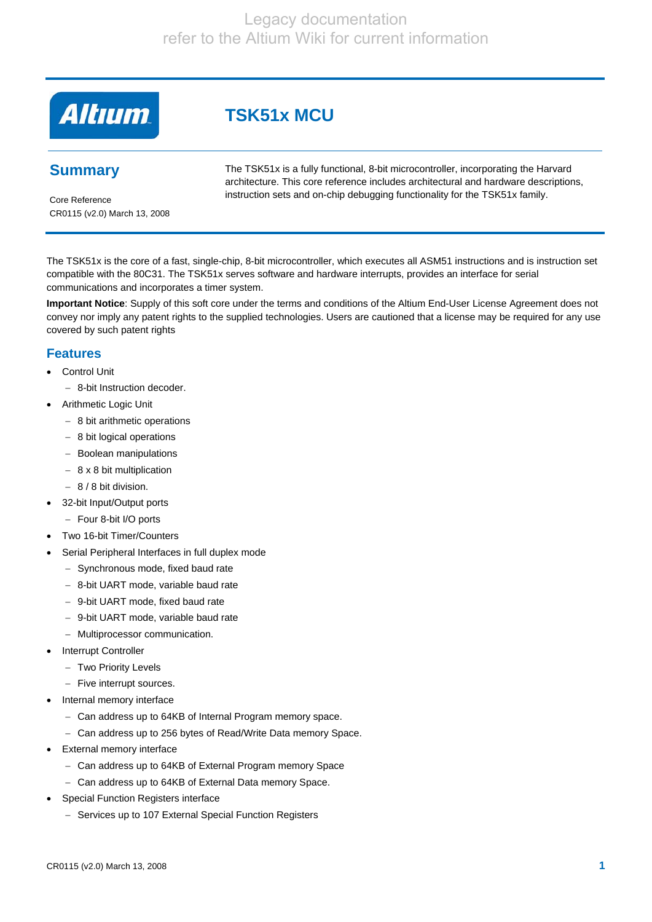**Altıum** 

# **Summary**

The TSK51x is a fully functional, 8-bit microcontroller, incorporating the Harvard architecture. This core reference includes architectural and hardware descriptions, instruction sets and on-chip debugging functionality for the TSK51x family.

Core Reference CR0115 (v2.0) March 13, 2008

The TSK51x is the core of a fast, single-chip, 8-bit microcontroller, which executes all ASM51 instructions and is instruction set compatible with the 80C31. The TSK51x serves software and hardware interrupts, provides an interface for serial communications and incorporates a timer system.

**Important Notice**: Supply of this soft core under the terms and conditions of the Altium End-User License Agreement does not convey nor imply any patent rights to the supplied technologies. Users are cautioned that a license may be required for any use covered by such patent rights

## **Features**

- **Control Unit** 
	- − 8-bit Instruction decoder.
- Arithmetic Logic Unit
	- − 8 bit arithmetic operations
	- − 8 bit logical operations
	- − Boolean manipulations
	- − 8 x 8 bit multiplication
	- − 8 / 8 bit division.
- 32-bit Input/Output ports
	- − Four 8-bit I/O ports
- Two 16-bit Timer/Counters
- Serial Peripheral Interfaces in full duplex mode
	- − Synchronous mode, fixed baud rate
	- − 8-bit UART mode, variable baud rate
	- − 9-bit UART mode, fixed baud rate
	- − 9-bit UART mode, variable baud rate
	- − Multiprocessor communication.
- **Interrupt Controller** 
	- − Two Priority Levels
	- − Five interrupt sources.
- Internal memory interface
	- − Can address up to 64KB of Internal Program memory space.
	- − Can address up to 256 bytes of Read/Write Data memory Space.
- **External memory interface** 
	- − Can address up to 64KB of External Program memory Space
	- − Can address up to 64KB of External Data memory Space.
- Special Function Registers interface
	- − Services up to 107 External Special Function Registers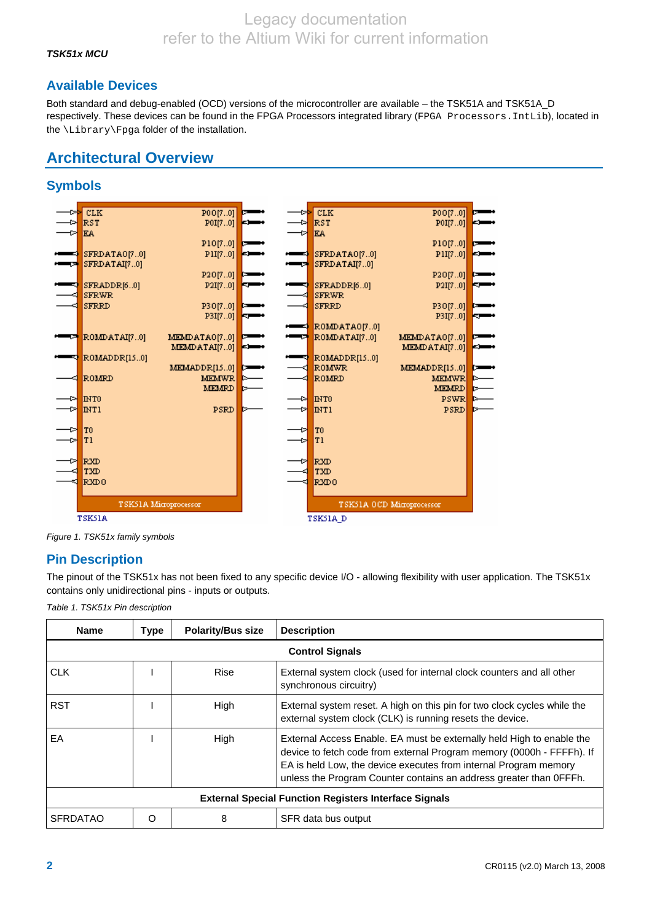## *TSK51x MCU*

# **Available Devices**

Both standard and debug-enabled (OCD) versions of the microcontroller are available – the TSK51A and TSK51A\_D respectively. These devices can be found in the FPGA Processors integrated library (FPGA Processors.IntLib), located in the \Library\Fpga folder of the installation.

# **Architectural Overview**

# **Symbols**



*Figure 1. TSK51x family symbols* 

# **Pin Description**

The pinout of the TSK51x has not been fixed to any specific device I/O - allowing flexibility with user application. The TSK51x contains only unidirectional pins - inputs or outputs.

*Table 1. TSK51x Pin description* 

| <b>Name</b>     | <b>Type</b>                                                  | <b>Polarity/Bus size</b> | <b>Description</b>                                                                                                                                                                                                                                                                       |  |  |  |  |  |
|-----------------|--------------------------------------------------------------|--------------------------|------------------------------------------------------------------------------------------------------------------------------------------------------------------------------------------------------------------------------------------------------------------------------------------|--|--|--|--|--|
|                 | <b>Control Signals</b>                                       |                          |                                                                                                                                                                                                                                                                                          |  |  |  |  |  |
| <b>CLK</b>      |                                                              | Rise                     | External system clock (used for internal clock counters and all other<br>synchronous circuitry)                                                                                                                                                                                          |  |  |  |  |  |
| <b>RST</b>      |                                                              | High                     | External system reset. A high on this pin for two clock cycles while the<br>external system clock (CLK) is running resets the device.                                                                                                                                                    |  |  |  |  |  |
| EA              |                                                              | High                     | External Access Enable. EA must be externally held High to enable the<br>device to fetch code from external Program memory (0000h - FFFFh). If<br>EA is held Low, the device executes from internal Program memory<br>unless the Program Counter contains an address greater than OFFFh. |  |  |  |  |  |
|                 | <b>External Special Function Registers Interface Signals</b> |                          |                                                                                                                                                                                                                                                                                          |  |  |  |  |  |
| <b>SFRDATAO</b> | റ                                                            | 8                        | SFR data bus output                                                                                                                                                                                                                                                                      |  |  |  |  |  |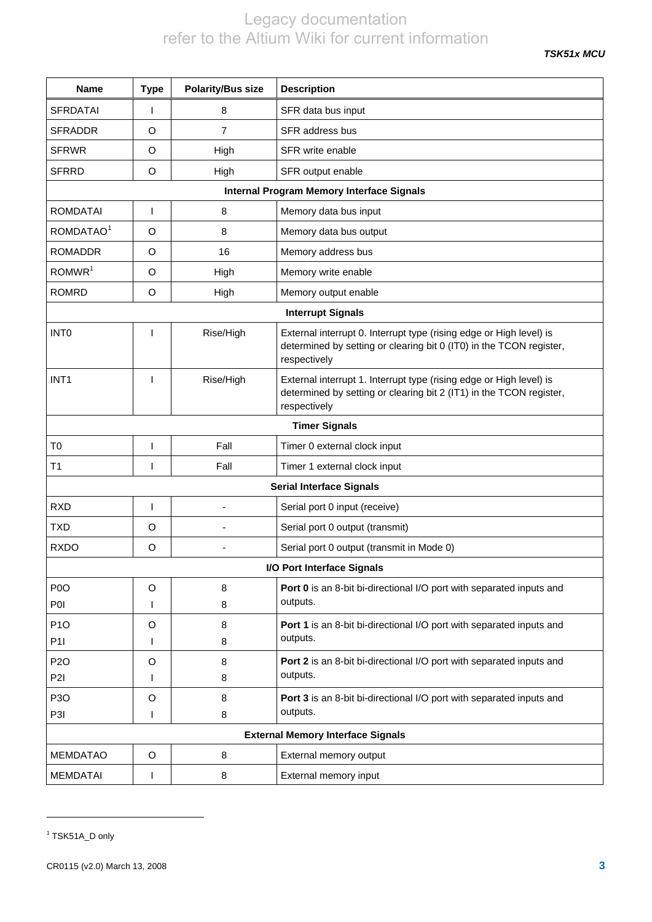*TSK51x MCU* 

<span id="page-2-1"></span>

| Name                     | <b>Type</b> | <b>Polarity/Bus size</b> | <b>Description</b>                                                                                                                                         |  |  |  |
|--------------------------|-------------|--------------------------|------------------------------------------------------------------------------------------------------------------------------------------------------------|--|--|--|
| <b>SFRDATAI</b>          |             | 8                        | SFR data bus input                                                                                                                                         |  |  |  |
| <b>SFRADDR</b>           | O           | 7                        | SFR address bus                                                                                                                                            |  |  |  |
| <b>SFRWR</b>             | O           | High                     | SFR write enable                                                                                                                                           |  |  |  |
| <b>SFRRD</b>             | O           | High                     | SFR output enable                                                                                                                                          |  |  |  |
|                          |             |                          | <b>Internal Program Memory Interface Signals</b>                                                                                                           |  |  |  |
| <b>ROMDATAI</b>          | I           | 8                        | Memory data bus input                                                                                                                                      |  |  |  |
| ROMDATAO <sup>1</sup>    | O           | 8                        | Memory data bus output                                                                                                                                     |  |  |  |
| <b>ROMADDR</b>           | O           | 16                       | Memory address bus                                                                                                                                         |  |  |  |
| ROMWR <sup>1</sup>       | O           | High                     | Memory write enable                                                                                                                                        |  |  |  |
| <b>ROMRD</b>             | O           | High                     | Memory output enable                                                                                                                                       |  |  |  |
| <b>Interrupt Signals</b> |             |                          |                                                                                                                                                            |  |  |  |
| <b>INTO</b>              | ı           | Rise/High                | External interrupt 0. Interrupt type (rising edge or High level) is<br>determined by setting or clearing bit 0 (IT0) in the TCON register,<br>respectively |  |  |  |
| INT <sub>1</sub>         | ı           | Rise/High                | External interrupt 1. Interrupt type (rising edge or High level) is<br>determined by setting or clearing bit 2 (IT1) in the TCON register,<br>respectively |  |  |  |
|                          |             |                          | <b>Timer Signals</b>                                                                                                                                       |  |  |  |
| T <sub>0</sub>           | I           | Fall                     | Timer 0 external clock input                                                                                                                               |  |  |  |
| T <sub>1</sub>           | ı           | Fall                     | Timer 1 external clock input                                                                                                                               |  |  |  |
|                          |             |                          | <b>Serial Interface Signals</b>                                                                                                                            |  |  |  |
| <b>RXD</b>               | I           |                          | Serial port 0 input (receive)                                                                                                                              |  |  |  |
| <b>TXD</b>               | O           |                          | Serial port 0 output (transmit)                                                                                                                            |  |  |  |
| <b>RXDO</b>              | O           |                          | Serial port 0 output (transmit in Mode 0)                                                                                                                  |  |  |  |
|                          |             |                          | I/O Port Interface Signals                                                                                                                                 |  |  |  |
| P <sub>0</sub> O         | O           | 8                        | Port 0 is an 8-bit bi-directional I/O port with separated inputs and                                                                                       |  |  |  |
| POI                      |             | 8                        | outputs.                                                                                                                                                   |  |  |  |
| P <sub>1</sub> O         | O           | 8                        | Port 1 is an 8-bit bi-directional I/O port with separated inputs and                                                                                       |  |  |  |
| <b>P11</b>               |             | 8                        | outputs.                                                                                                                                                   |  |  |  |
| <b>P2O</b><br>P2I        | O           | 8                        | Port 2 is an 8-bit bi-directional I/O port with separated inputs and<br>outputs.                                                                           |  |  |  |
|                          |             | 8                        |                                                                                                                                                            |  |  |  |
| P <sub>3</sub> O<br>P3I  | O<br>I      | 8<br>8                   | Port 3 is an 8-bit bi-directional I/O port with separated inputs and<br>outputs.                                                                           |  |  |  |
|                          |             |                          | <b>External Memory Interface Signals</b>                                                                                                                   |  |  |  |
| <b>MEMDATAO</b>          | $\circ$     | 8                        | External memory output                                                                                                                                     |  |  |  |
| <b>MEMDATAI</b>          | ı           | 8                        | External memory input                                                                                                                                      |  |  |  |

l

<span id="page-2-0"></span><sup>&</sup>lt;sup>1</sup> TSK51A\_D only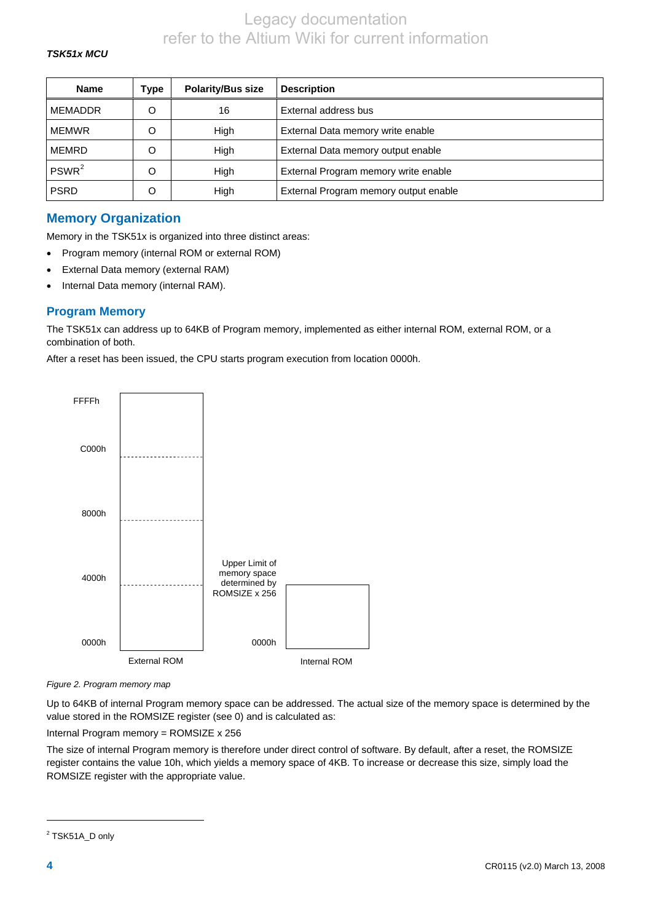### *TSK51x MCU*

| <b>Name</b>       | Type | <b>Polarity/Bus size</b> | <b>Description</b>                    |
|-------------------|------|--------------------------|---------------------------------------|
| <b>MEMADDR</b>    | O    | 16                       | External address bus                  |
| <b>MEMWR</b>      | O    | High                     | External Data memory write enable     |
| MEMRD             | O    | High                     | External Data memory output enable    |
| PSWR <sup>2</sup> | O    | High                     | External Program memory write enable  |
| <b>PSRD</b>       | O    | High                     | External Program memory output enable |

# **Memory Organization**

Memory in the TSK51x is organized into three distinct areas:

- Program memory (internal ROM or external ROM)
- External Data memory (external RAM)
- Internal Data memory (internal RAM).

### **Program Memory**

The TSK51x can address up to 64KB of Program memory, implemented as either internal ROM, external ROM, or a combination of both.

After a reset has been issued, the CPU starts program execution from location 0000h.



*Figure 2. Program memory map* 

Up to 64KB of internal Program memory space can be addressed. The actual size of the memory space is determined by the value stored in the ROMSIZE register (see [0\)](#page-7-0) and is calculated as:

Internal Program memory = ROMSIZE x 256

The size of internal Program memory is therefore under direct control of software. By default, after a reset, the ROMSIZE register contains the value 10h, which yields a memory space of 4KB. To increase or decrease this size, simply load the ROMSIZE register with the appropriate value.

 $\overline{a}$ 

<span id="page-3-0"></span><sup>&</sup>lt;sup>2</sup> TSK51A\_D only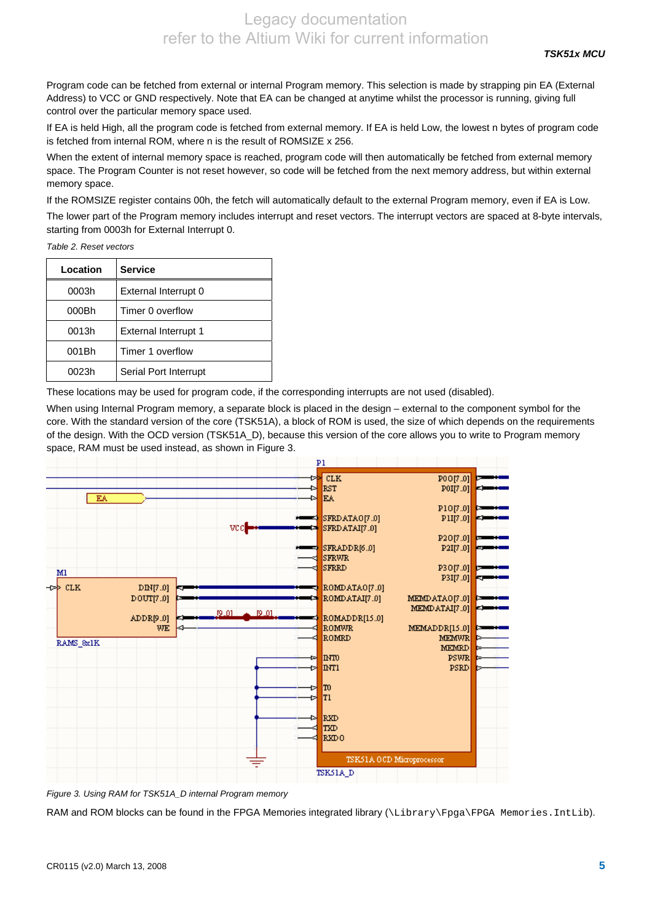<span id="page-4-0"></span>Program code can be fetched from external or internal Program memory. This selection is made by strapping pin EA (External Address) to VCC or GND respectively. Note that EA can be changed at anytime whilst the processor is running, giving full control over the particular memory space used.

If EA is held High, all the program code is fetched from external memory. If EA is held Low, the lowest n bytes of program code is fetched from internal ROM, where n is the result of ROMSIZE x 256.

When the extent of internal memory space is reached, program code will then automatically be fetched from external memory space. The Program Counter is not reset however, so code will be fetched from the next memory address, but within external memory space.

If the ROMSIZE register contains 00h, the fetch will automatically default to the external Program memory, even if EA is Low.

The lower part of the Program memory includes interrupt and reset vectors. The interrupt vectors are spaced at 8-byte intervals, starting from 0003h for External Interrupt 0.

*Table 2. Reset vectors* 

| Location | <b>Service</b>        |
|----------|-----------------------|
| 0003h    | External Interrupt 0  |
| 000Bh    | Timer 0 overflow      |
| 0013h    | External Interrupt 1  |
| 001Bh    | Timer 1 overflow      |
| 0023h    | Serial Port Interrupt |

These locations may be used for program code, if the corresponding interrupts are not used (disabled).

When using Internal Program memory, a separate block is placed in the design – external to the component symbol for the core. With the standard version of the core (TSK51A), a block of ROM is used, the size of which depends on the requirements of the design. With the OCD version (TSK51A\_D), because this version of the core allows you to write to Program memory space, RAM must be used instead, as shown in [Figure 3.](#page-4-0)



*Figure 3. Using RAM for TSK51A\_D internal Program memory* 

RAM and ROM blocks can be found in the FPGA Memories integrated library (\Library\Fpga\FPGA Memories.IntLib).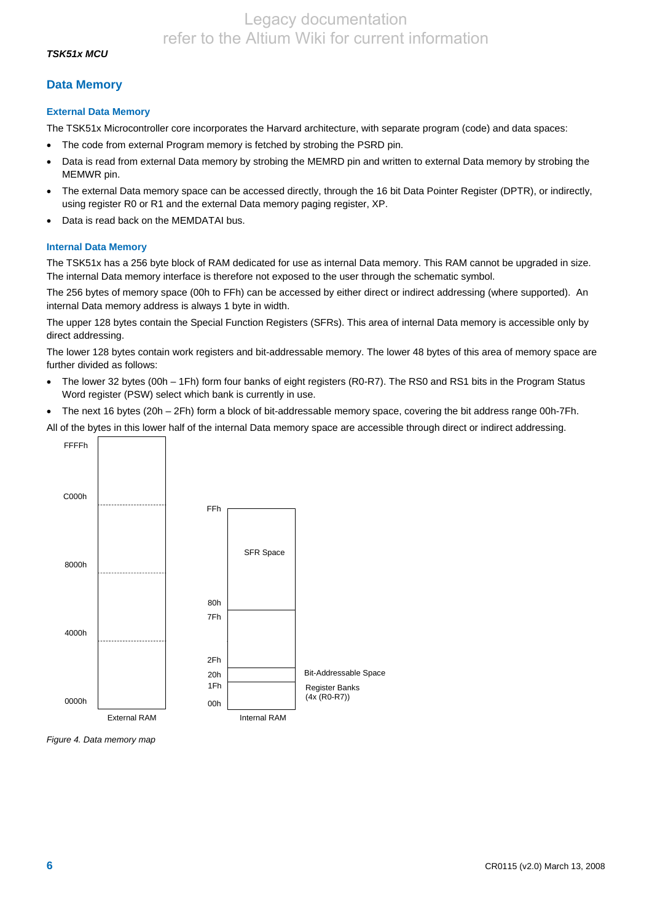## **Data Memory**

### **External Data Memory**

The TSK51x Microcontroller core incorporates the Harvard architecture, with separate program (code) and data spaces:

- The code from external Program memory is fetched by strobing the PSRD pin.
- Data is read from external Data memory by strobing the MEMRD pin and written to external Data memory by strobing the MEMWR pin.
- The external Data memory space can be accessed directly, through the 16 bit Data Pointer Register (DPTR), or indirectly, using register R0 or R1 and the external Data memory paging register, XP.
- Data is read back on the MEMDATAI bus.

## **Internal Data Memory**

The TSK51x has a 256 byte block of RAM dedicated for use as internal Data memory. This RAM cannot be upgraded in size. The internal Data memory interface is therefore not exposed to the user through the schematic symbol.

The 256 bytes of memory space (00h to FFh) can be accessed by either direct or indirect addressing (where supported). An internal Data memory address is always 1 byte in width.

The upper 128 bytes contain the Special Function Registers (SFRs). This area of internal Data memory is accessible only by direct addressing.

The lower 128 bytes contain work registers and bit-addressable memory. The lower 48 bytes of this area of memory space are further divided as follows:

- The lower 32 bytes (00h 1Fh) form four banks of eight registers (R0-R7). The RS0 and RS1 bits in the Program Status Word register (PSW) select which bank is currently in use.
- The next 16 bytes (20h 2Fh) form a block of bit-addressable memory space, covering the bit address range 00h-7Fh.

All of the bytes in this lower half of the internal Data memory space are accessible through direct or indirect addressing.



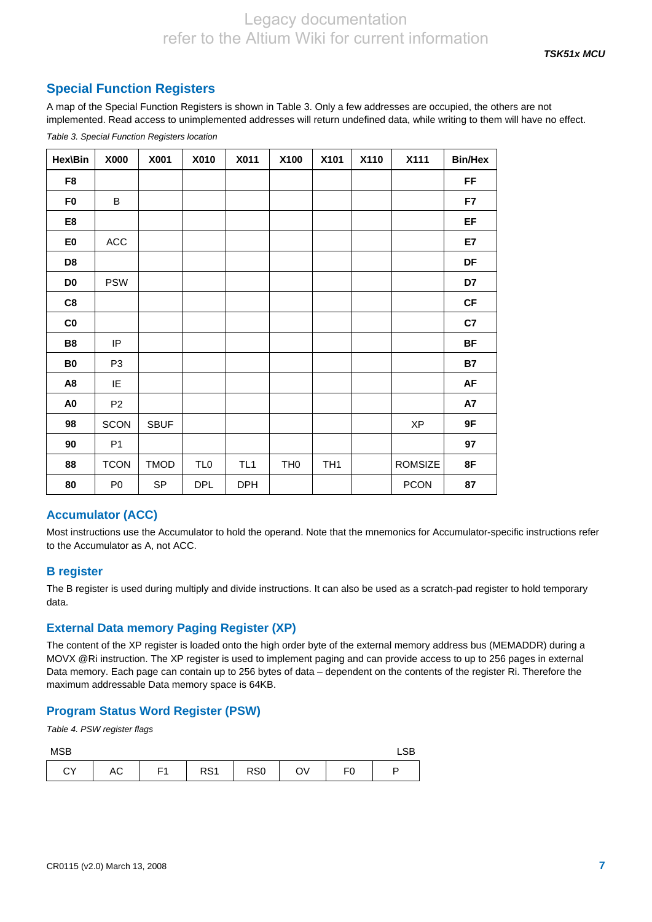# <span id="page-6-0"></span>**Special Function Registers**

A map of the Special Function Registers is shown in [Table 3.](#page-6-0) Only a few addresses are occupied, the others are not implemented. Read access to unimplemented addresses will return undefined data, while writing to them will have no effect.

| Hex\Bin        | X000           | X001        | X010            | X011            | X100            | X101            | X110 | X111           | <b>Bin/Hex</b> |
|----------------|----------------|-------------|-----------------|-----------------|-----------------|-----------------|------|----------------|----------------|
| F8             |                |             |                 |                 |                 |                 |      |                | <b>FF</b>      |
| F <sub>0</sub> | B              |             |                 |                 |                 |                 |      |                | F7             |
| E8             |                |             |                 |                 |                 |                 |      |                | EF             |
| E <sub>0</sub> | $\mathsf{ACC}$ |             |                 |                 |                 |                 |      |                | E7             |
| D <sub>8</sub> |                |             |                 |                 |                 |                 |      |                | DF             |
| D <sub>0</sub> | <b>PSW</b>     |             |                 |                 |                 |                 |      |                | D7             |
| C8             |                |             |                 |                 |                 |                 |      |                | CF             |
| C <sub>0</sub> |                |             |                 |                 |                 |                 |      |                | C7             |
| <b>B8</b>      | IP             |             |                 |                 |                 |                 |      |                | <b>BF</b>      |
| B <sub>0</sub> | P <sub>3</sub> |             |                 |                 |                 |                 |      |                | <b>B7</b>      |
| A8             | IE             |             |                 |                 |                 |                 |      |                | <b>AF</b>      |
| A <sub>0</sub> | P <sub>2</sub> |             |                 |                 |                 |                 |      |                | A7             |
| 98             | <b>SCON</b>    | <b>SBUF</b> |                 |                 |                 |                 |      | <b>XP</b>      | 9F             |
| 90             | P <sub>1</sub> |             |                 |                 |                 |                 |      |                | 97             |
| 88             | <b>TCON</b>    | <b>TMOD</b> | TL <sub>0</sub> | TL <sub>1</sub> | TH <sub>0</sub> | TH <sub>1</sub> |      | <b>ROMSIZE</b> | 8F             |
| 80             | P <sub>0</sub> | <b>SP</b>   | <b>DPL</b>      | <b>DPH</b>      |                 |                 |      | <b>PCON</b>    | 87             |

*Table 3. Special Function Registers location* 

## **Accumulator (ACC)**

Most instructions use the Accumulator to hold the operand. Note that the mnemonics for Accumulator-specific instructions refer to the Accumulator as A, not ACC.

## **B register**

The B register is used during multiply and divide instructions. It can also be used as a scratch-pad register to hold temporary data.

## **External Data memory Paging Register (XP)**

The content of the XP register is loaded onto the high order byte of the external memory address bus (MEMADDR) during a MOVX @Ri instruction. The XP register is used to implement paging and can provide access to up to 256 pages in external Data memory. Each page can contain up to 256 bytes of data – dependent on the contents of the register Ri. Therefore the maximum addressable Data memory space is 64KB.

## **Program Status Word Register (PSW)**

*Table 4. PSW register flags* 

| <b>MSB</b>   |               |                |                 |                 |    |                | LSB |
|--------------|---------------|----------------|-----------------|-----------------|----|----------------|-----|
| $\sim$<br>UI | $\mathsf{AC}$ | F <sub>1</sub> | RS <sub>1</sub> | RS <sub>0</sub> | OV | F <sub>0</sub> |     |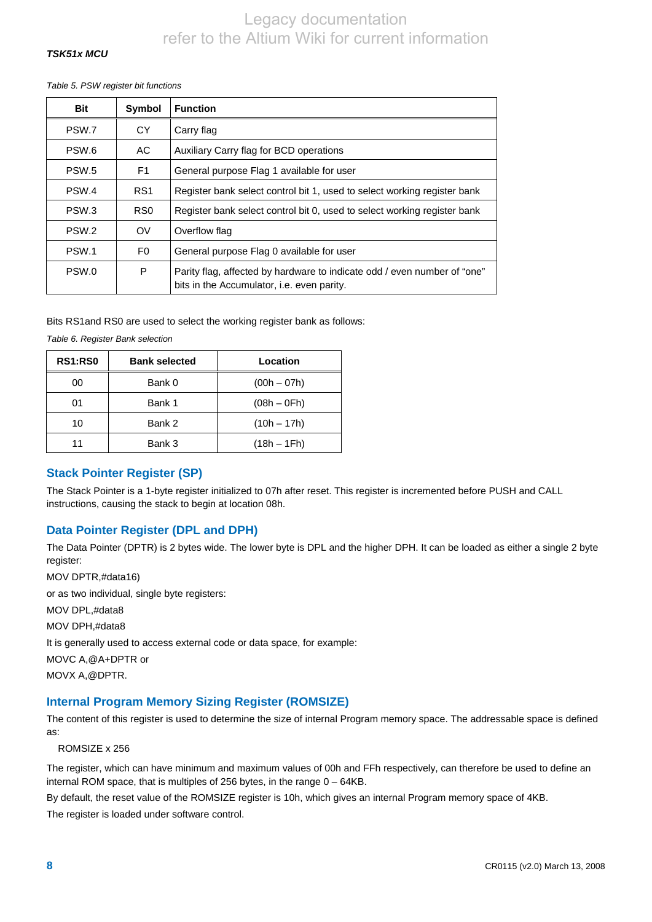## <span id="page-7-0"></span>*TSK51x MCU*

*Table 5. PSW register bit functions* 

| <b>Bit</b>       | Symbol          | <b>Function</b>                                                                                                        |
|------------------|-----------------|------------------------------------------------------------------------------------------------------------------------|
| PSW.7            | <b>CY</b>       | Carry flag                                                                                                             |
| PSW.6            | AC.             | Auxiliary Carry flag for BCD operations                                                                                |
| PSW.5            | F <sub>1</sub>  | General purpose Flag 1 available for user                                                                              |
| PSW.4            | RS <sub>1</sub> | Register bank select control bit 1, used to select working register bank                                               |
| PSW.3            | R <sub>S0</sub> | Register bank select control bit 0, used to select working register bank                                               |
| PSW <sub>2</sub> | OV              | Overflow flag                                                                                                          |
| PSW.1            | F <sub>0</sub>  | General purpose Flag 0 available for user                                                                              |
| PSW.0            | P               | Parity flag, affected by hardware to indicate odd / even number of "one"<br>bits in the Accumulator, i.e. even parity. |

Bits RS1and RS0 are used to select the working register bank as follows:

*Table 6. Register Bank selection* 

| <b>RS1:RS0</b> | <b>Bank selected</b> | Location      |
|----------------|----------------------|---------------|
| 00             | Bank 0               | $(00h - 07h)$ |
| 01             | Bank 1               | $(08h - 0Fh)$ |
| 10             | Bank 2               | $(10h - 17h)$ |
| 11             | Bank 3               | $(18h - 1Fh)$ |

## **Stack Pointer Register (SP)**

The Stack Pointer is a 1-byte register initialized to 07h after reset. This register is incremented before PUSH and CALL instructions, causing the stack to begin at location 08h.

## **Data Pointer Register (DPL and DPH)**

The Data Pointer (DPTR) is 2 bytes wide. The lower byte is DPL and the higher DPH. It can be loaded as either a single 2 byte register:

MOV DPTR,#data16) or as two individual, single byte registers: MOV DPL,#data8 MOV DPH,#data8 It is generally used to access external code or data space, for example: MOVC A,@A+DPTR or MOVX A,@DPTR.

## **Internal Program Memory Sizing Register (ROMSIZE)**

The content of this register is used to determine the size of internal Program memory space. The addressable space is defined as:

#### ROMSIZE x 256

The register, which can have minimum and maximum values of 00h and FFh respectively, can therefore be used to define an internal ROM space, that is multiples of 256 bytes, in the range 0 – 64KB.

By default, the reset value of the ROMSIZE register is 10h, which gives an internal Program memory space of 4KB.

The register is loaded under software control.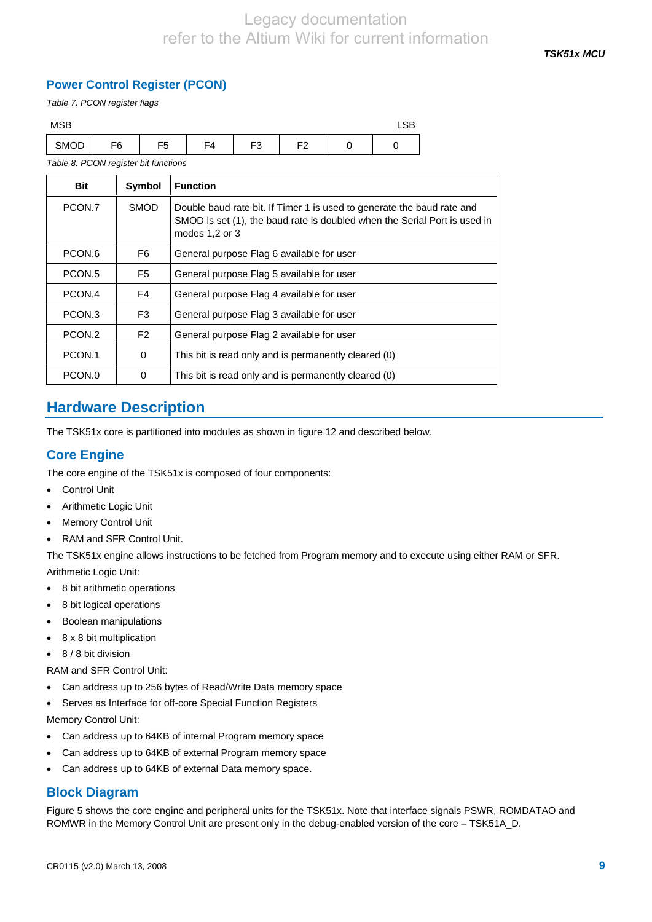*TSK51x MCU* 

# **Power Control Register (PCON)**

*Table 7. PCON register flags* 

| <b>MSB</b> |                |                |    |          |           | LSB |  |
|------------|----------------|----------------|----|----------|-----------|-----|--|
| SMOD       | F <sub>6</sub> | F <sub>5</sub> | F4 | ⊏ว<br>ັບ | E2<br>г∠. |     |  |

*Table 8. PCON register bit functions* 

| Bit    | Symbol         | <b>Function</b>                                                                                                                                                           |
|--------|----------------|---------------------------------------------------------------------------------------------------------------------------------------------------------------------------|
| PCON.7 | <b>SMOD</b>    | Double baud rate bit. If Timer 1 is used to generate the baud rate and<br>SMOD is set (1), the baud rate is doubled when the Serial Port is used in<br>modes $1,2$ or $3$ |
| PCON.6 | F <sub>6</sub> | General purpose Flag 6 available for user                                                                                                                                 |
| PCON.5 | F <sub>5</sub> | General purpose Flag 5 available for user                                                                                                                                 |
| PCON.4 | F4             | General purpose Flag 4 available for user                                                                                                                                 |
| PCON.3 | F <sub>3</sub> | General purpose Flag 3 available for user                                                                                                                                 |
| PCON.2 | F <sub>2</sub> | General purpose Flag 2 available for user                                                                                                                                 |
| PCON.1 | 0              | This bit is read only and is permanently cleared (0)                                                                                                                      |
| PCON.0 | 0              | This bit is read only and is permanently cleared (0)                                                                                                                      |

# **Hardware Description**

The TSK51x core is partitioned into modules as shown in figure 12 and described below.

# **Core Engine**

The core engine of the TSK51x is composed of four components:

- Control Unit
- Arithmetic Logic Unit
- Memory Control Unit
- RAM and SFR Control Unit.

The TSK51x engine allows instructions to be fetched from Program memory and to execute using either RAM or SFR. Arithmetic Logic Unit:

- 8 bit arithmetic operations
- 8 bit logical operations
- Boolean manipulations
- 8 x 8 bit multiplication
- 8 / 8 bit division
- RAM and SFR Control Unit:
- Can address up to 256 bytes of Read/Write Data memory space
- Serves as Interface for off-core Special Function Registers

Memory Control Unit:

- Can address up to 64KB of internal Program memory space
- Can address up to 64KB of external Program memory space
- Can address up to 64KB of external Data memory space.

# **Block Diagram**

Figure 5 shows the core engine and peripheral units for the TSK51x. Note that interface signals PSWR, ROMDATAO and ROMWR in the Memory Control Unit are present only in the debug-enabled version of the core – TSK51A\_D.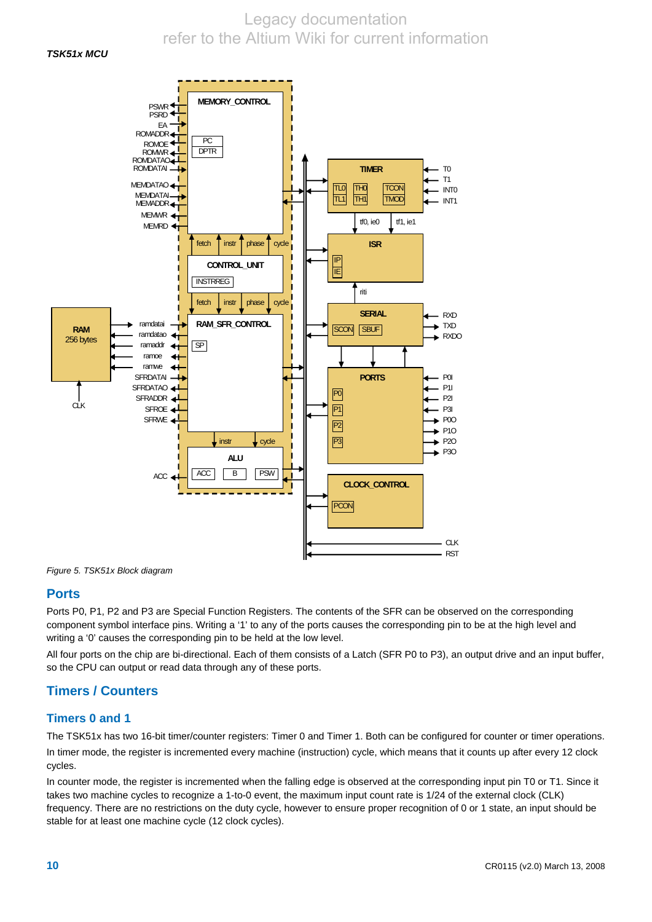#### *TSK51x MCU*



*Figure 5. TSK51x Block diagram* 

## **Ports**

Ports P0, P1, P2 and P3 are Special Function Registers. The contents of the SFR can be observed on the corresponding component symbol interface pins. Writing a '1' to any of the ports causes the corresponding pin to be at the high level and writing a '0' causes the corresponding pin to be held at the low level.

All four ports on the chip are bi-directional. Each of them consists of a Latch (SFR P0 to P3), an output drive and an input buffer, so the CPU can output or read data through any of these ports.

# **Timers / Counters**

## **Timers 0 and 1**

The TSK51x has two 16-bit timer/counter registers: Timer 0 and Timer 1. Both can be configured for counter or timer operations.

In timer mode, the register is incremented every machine (instruction) cycle, which means that it counts up after every 12 clock cycles.

In counter mode, the register is incremented when the falling edge is observed at the corresponding input pin T0 or T1. Since it takes two machine cycles to recognize a 1-to-0 event, the maximum input count rate is 1/24 of the external clock (CLK) frequency. There are no restrictions on the duty cycle, however to ensure proper recognition of 0 or 1 state, an input should be stable for at least one machine cycle (12 clock cycles).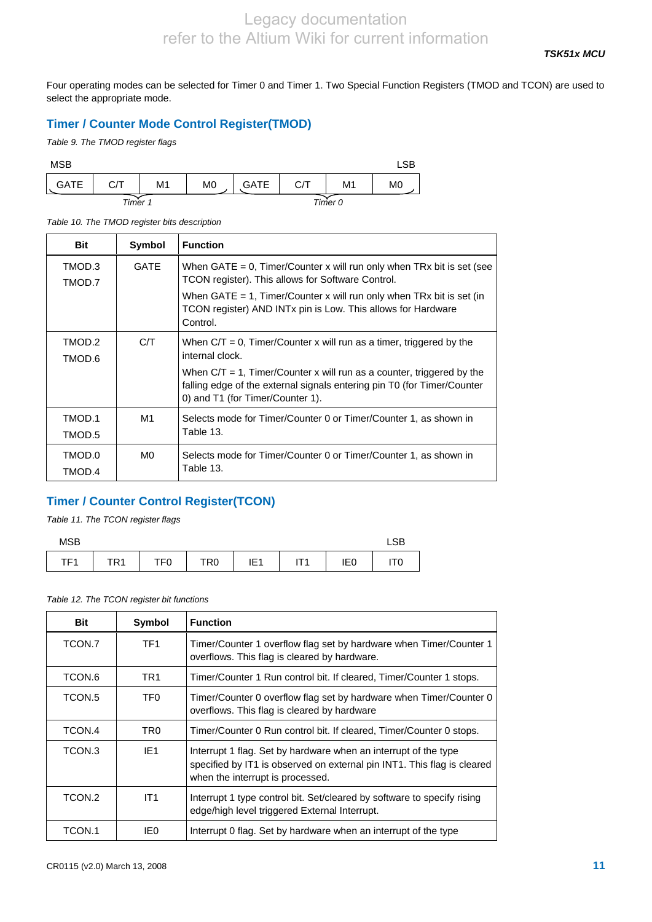Four operating modes can be selected for Timer 0 and Timer 1. Two Special Function Registers (TMOD and TCON) are used to select the appropriate mode.

# **Timer / Counter Mode Control Register(TMOD)**

*Table 9. The TMOD register flags* 

| <b>MSB</b>  |         |    |                |             |     |         | LSB            |
|-------------|---------|----|----------------|-------------|-----|---------|----------------|
| <b>GATE</b> | C/T     | M1 | M <sub>0</sub> | <b>GATE</b> | C/T | M1      | M <sub>0</sub> |
|             | Timer 1 |    |                |             |     | Timer 0 |                |

*Table 10. The TMOD register bits description* 

| <b>Bit</b>       | Symbol      | <b>Function</b>                                                                                                                                                                                                                                                                        |
|------------------|-------------|----------------------------------------------------------------------------------------------------------------------------------------------------------------------------------------------------------------------------------------------------------------------------------------|
| TMOD.3<br>TMOD.7 | <b>GATE</b> | When $GATE = 0$ , Timer/Counter x will run only when TRx bit is set (see<br>TCON register). This allows for Software Control.<br>When $GATE = 1$ , Timer/Counter x will run only when $TRx$ bit is set (in<br>TCON register) AND INTx pin is Low. This allows for Hardware<br>Control. |
| TMOD.2<br>TMOD.6 | C/T         | When $C/T = 0$ , Timer/Counter x will run as a timer, triggered by the<br>internal clock.<br>When $C/T = 1$ , Timer/Counter x will run as a counter, triggered by the<br>falling edge of the external signals entering pin T0 (for Timer/Counter<br>0) and T1 (for Timer/Counter 1).   |
| TMOD.1<br>TMOD.5 | M1          | Selects mode for Timer/Counter 0 or Timer/Counter 1, as shown in<br>Table 13.                                                                                                                                                                                                          |
| TMOD.0<br>TMOD.4 | M0.         | Selects mode for Timer/Counter 0 or Timer/Counter 1, as shown in<br>Table 13.                                                                                                                                                                                                          |

# **Timer / Counter Control Register(TCON)**

*Table 11. The TCON register flags* 

| <b>MSB</b>      |                 |                 |                 |                 |     |                 | LSB        |
|-----------------|-----------------|-----------------|-----------------|-----------------|-----|-----------------|------------|
| TF <sub>1</sub> | TR <sub>1</sub> | TF <sub>0</sub> | TR <sub>0</sub> | IE <sub>1</sub> | ΙΤΙ | IE <sub>0</sub> | <b>ITC</b> |

*Table 12. The TCON register bit functions* 

| Bit    | Symbol          | <b>Function</b>                                                                                                                                                                |
|--------|-----------------|--------------------------------------------------------------------------------------------------------------------------------------------------------------------------------|
| TCON.7 | TF1             | Timer/Counter 1 overflow flag set by hardware when Timer/Counter 1<br>overflows. This flag is cleared by hardware.                                                             |
| TCON.6 | TR <sub>1</sub> | Timer/Counter 1 Run control bit. If cleared, Timer/Counter 1 stops.                                                                                                            |
| TCON.5 | TF0             | Timer/Counter 0 overflow flag set by hardware when Timer/Counter 0<br>overflows. This flag is cleared by hardware                                                              |
| TCON.4 | TR0             | Timer/Counter 0 Run control bit. If cleared, Timer/Counter 0 stops.                                                                                                            |
| TCON.3 | IE <sub>1</sub> | Interrupt 1 flag. Set by hardware when an interrupt of the type<br>specified by IT1 is observed on external pin INT1. This flag is cleared<br>when the interrupt is processed. |
| TCON.2 | IT1             | Interrupt 1 type control bit. Set/cleared by software to specify rising<br>edge/high level triggered External Interrupt.                                                       |
| TCON.1 | IE0             | Interrupt 0 flag. Set by hardware when an interrupt of the type                                                                                                                |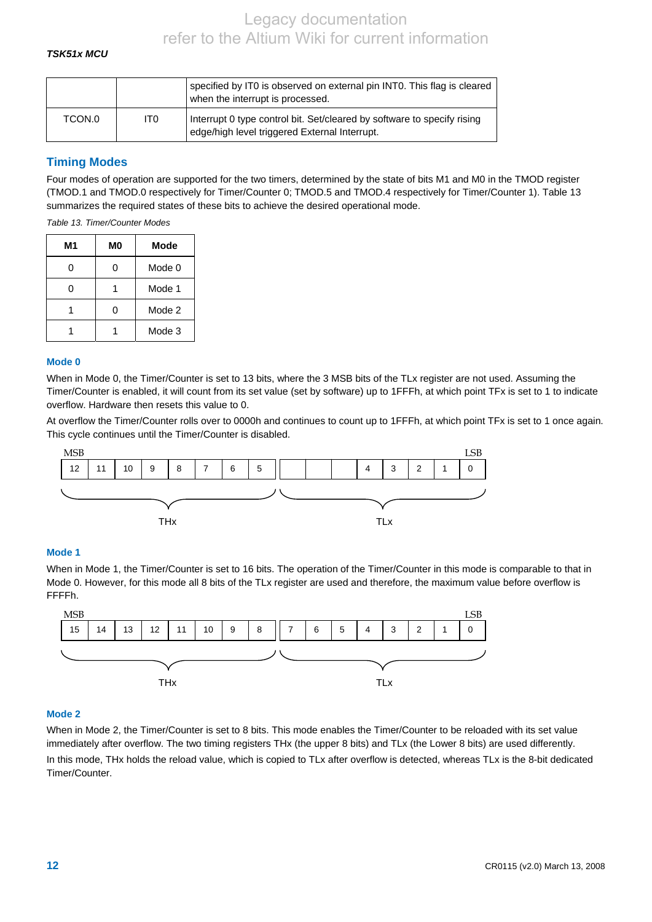### <span id="page-11-0"></span>*TSK51x MCU*

|        |     | specified by IT0 is observed on external pin INT0. This flag is cleared<br>when the interrupt is processed.              |
|--------|-----|--------------------------------------------------------------------------------------------------------------------------|
| TCON.0 | IT0 | Interrupt 0 type control bit. Set/cleared by software to specify rising<br>edge/high level triggered External Interrupt. |

## **Timing Modes**

Four modes of operation are supported for the two timers, determined by the state of bits M1 and M0 in the TMOD register (TMOD.1 and TMOD.0 respectively for Timer/Counter 0; TMOD.5 and TMOD.4 respectively for Timer/Counter 1). Table 13 summarizes the required states of these bits to achieve the desired operational mode.

*Table 13. Timer/Counter Modes* 

| М1 | M0 | <b>Mode</b> |
|----|----|-------------|
| ი  | 0  | Mode 0      |
| 0  |    | Mode 1      |
|    | 0  | Mode 2      |
|    |    | Mode 3      |

#### **Mode 0**

When in Mode 0, the Timer/Counter is set to 13 bits, where the 3 MSB bits of the TLx register are not used. Assuming the Timer/Counter is enabled, it will count from its set value (set by software) up to 1FFFh, at which point TFx is set to 1 to indicate overflow. Hardware then resets this value to 0.

At overflow the Timer/Counter rolls over to 0000h and continues to count up to 1FFFh, at which point TFx is set to 1 once again. This cycle continues until the Timer/Counter is disabled.



#### **Mode 1**

When in Mode 1, the Timer/Counter is set to 16 bits. The operation of the Timer/Counter in this mode is comparable to that in Mode 0. However, for this mode all 8 bits of the TLx register are used and therefore, the maximum value before overflow is FFFFh.



#### **Mode 2**

When in Mode 2, the Timer/Counter is set to 8 bits. This mode enables the Timer/Counter to be reloaded with its set value immediately after overflow. The two timing registers THx (the upper 8 bits) and TLx (the Lower 8 bits) are used differently.

In this mode, THx holds the reload value, which is copied to TLx after overflow is detected, whereas TLx is the 8-bit dedicated Timer/Counter.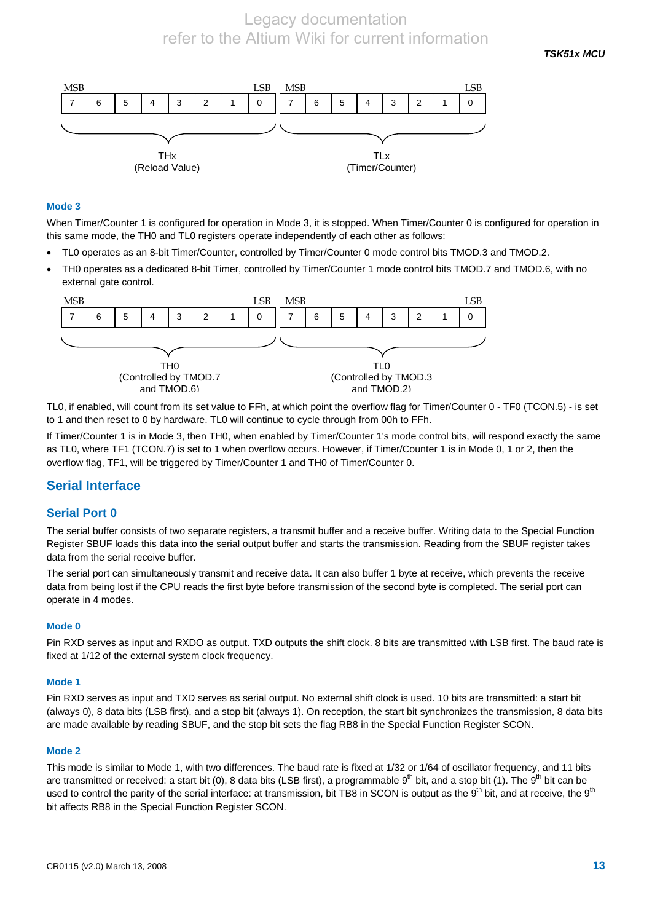*TSK51x MCU* 



#### **Mode 3**

When Timer/Counter 1 is configured for operation in Mode 3, it is stopped. When Timer/Counter 0 is configured for operation in this same mode, the TH0 and TL0 registers operate independently of each other as follows:

- TL0 operates as an 8-bit Timer/Counter, controlled by Timer/Counter 0 mode control bits TMOD.3 and TMOD.2.
- TH0 operates as a dedicated 8-bit Timer, controlled by Timer/Counter 1 mode control bits TMOD.7 and TMOD.6, with no external gate control.



TL0, if enabled, will count from its set value to FFh, at which point the overflow flag for Timer/Counter 0 - TF0 (TCON.5) - is set to 1 and then reset to 0 by hardware. TL0 will continue to cycle through from 00h to FFh.

If Timer/Counter 1 is in Mode 3, then TH0, when enabled by Timer/Counter 1's mode control bits, will respond exactly the same as TL0, where TF1 (TCON.7) is set to 1 when overflow occurs. However, if Timer/Counter 1 is in Mode 0, 1 or 2, then the overflow flag, TF1, will be triggered by Timer/Counter 1 and TH0 of Timer/Counter 0.

## **Serial Interface**

#### **Serial Port 0**

The serial buffer consists of two separate registers, a transmit buffer and a receive buffer. Writing data to the Special Function Register SBUF loads this data into the serial output buffer and starts the transmission. Reading from the SBUF register takes data from the serial receive buffer.

The serial port can simultaneously transmit and receive data. It can also buffer 1 byte at receive, which prevents the receive data from being lost if the CPU reads the first byte before transmission of the second byte is completed. The serial port can operate in 4 modes.

#### **Mode 0**

Pin RXD serves as input and RXDO as output. TXD outputs the shift clock. 8 bits are transmitted with LSB first. The baud rate is fixed at 1/12 of the external system clock frequency.

#### **Mode 1**

Pin RXD serves as input and TXD serves as serial output. No external shift clock is used. 10 bits are transmitted: a start bit (always 0), 8 data bits (LSB first), and a stop bit (always 1). On reception, the start bit synchronizes the transmission, 8 data bits are made available by reading SBUF, and the stop bit sets the flag RB8 in the Special Function Register SCON.

#### **Mode 2**

This mode is similar to Mode 1, with two differences. The baud rate is fixed at 1/32 or 1/64 of oscillator frequency, and 11 bits are transmitted or received: a start bit (0), 8 data bits (LSB first), a programmable  $9<sup>th</sup>$  bit, and a stop bit (1). The  $9<sup>th</sup>$  bit can be used to control the parity of the serial interface: at transmission, bit TB8 in SCON is output as the  $9<sup>th</sup>$  bit, and at receive, the  $9<sup>th</sup>$ bit affects RB8 in the Special Function Register SCON.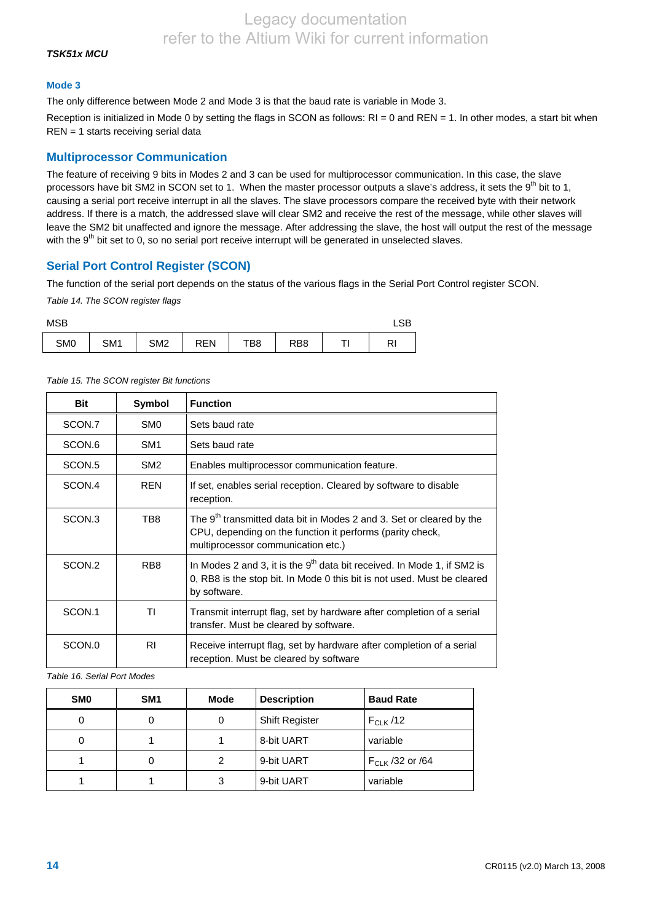### *TSK51x MCU*

#### **Mode 3**

The only difference between Mode 2 and Mode 3 is that the baud rate is variable in Mode 3.

Reception is initialized in Mode 0 by setting the flags in SCON as follows: RI = 0 and REN = 1. In other modes, a start bit when REN = 1 starts receiving serial data

## **Multiprocessor Communication**

The feature of receiving 9 bits in Modes 2 and 3 can be used for multiprocessor communication. In this case, the slave processors have bit SM2 in SCON set to 1. When the master processor outputs a slave's address, it sets the  $9<sup>th</sup>$  bit to 1, causing a serial port receive interrupt in all the slaves. The slave processors compare the received byte with their network address. If there is a match, the addressed slave will clear SM2 and receive the rest of the message, while other slaves will leave the SM2 bit unaffected and ignore the message. After addressing the slave, the host will output the rest of the message with the  $9<sup>th</sup>$  bit set to 0, so no serial port receive interrupt will be generated in unselected slaves.

## **Serial Port Control Register (SCON)**

The function of the serial port depends on the status of the various flags in the Serial Port Control register SCON.

*Table 14. The SCON register flags* 

| <b>MSB</b>      |                 |                 |            |     |                 |                |
|-----------------|-----------------|-----------------|------------|-----|-----------------|----------------|
| SM <sub>0</sub> | SM <sub>1</sub> | SM <sub>2</sub> | <b>REN</b> | TB8 | RB <sub>8</sub> | R <sub>l</sub> |

| Table 15. The SCON register Bit functions |
|-------------------------------------------|

| Bit                | Symbol          | <b>Function</b>                                                                                                                                                                     |
|--------------------|-----------------|-------------------------------------------------------------------------------------------------------------------------------------------------------------------------------------|
| SCON.7             | SM <sub>0</sub> | Sets baud rate                                                                                                                                                                      |
| SCON.6             | SM <sub>1</sub> | Sets baud rate                                                                                                                                                                      |
| SCON <sub>.5</sub> | SM <sub>2</sub> | Enables multiprocessor communication feature.                                                                                                                                       |
| SCON.4             | <b>REN</b>      | If set, enables serial reception. Cleared by software to disable<br>reception.                                                                                                      |
| SCON <sub>3</sub>  | TB8             | The 9 <sup>th</sup> transmitted data bit in Modes 2 and 3. Set or cleared by the<br>CPU, depending on the function it performs (parity check,<br>multiprocessor communication etc.) |
| SCON.2             | RB <sub>8</sub> | In Modes 2 and 3, it is the $9th$ data bit received. In Mode 1, if SM2 is<br>0, RB8 is the stop bit. In Mode 0 this bit is not used. Must be cleared<br>by software.                |
| SCON.1             | ΤI              | Transmit interrupt flag, set by hardware after completion of a serial<br>transfer. Must be cleared by software.                                                                     |
| SCON.0             | R <sub>1</sub>  | Receive interrupt flag, set by hardware after completion of a serial<br>reception. Must be cleared by software                                                                      |

*Table 16. Serial Port Modes* 

| <b>SMO</b> | SM <sub>1</sub> | Mode | <b>Description</b>    | <b>Baud Rate</b>     |
|------------|-----------------|------|-----------------------|----------------------|
| 0          | 0               | 0    | <b>Shift Register</b> | $F_{CLK}$ /12        |
| 0          |                 |      | 8-bit UART            | variable             |
|            | 0               | 2    | 9-bit UART            | $F_{CLK}$ /32 or /64 |
|            |                 | 3    | 9-bit UART            | variable             |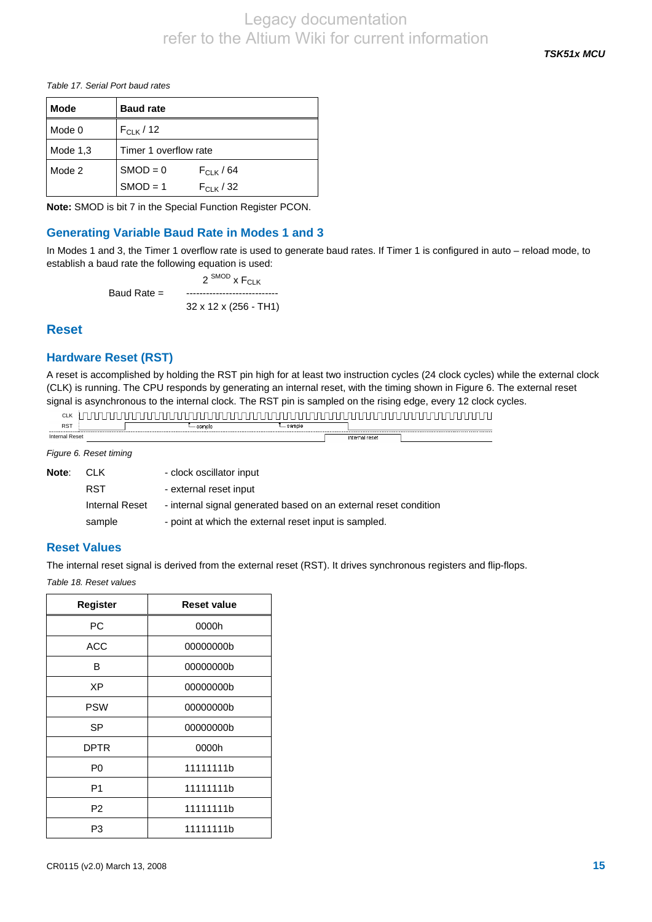*TSK51x MCU* 

<span id="page-14-0"></span>*Table 17. Serial Port baud rates* 

| <b>Mode</b> | <b>Baud rate</b>      |                |  |
|-------------|-----------------------|----------------|--|
| Mode 0      | $F_{CLK}$ / 12        |                |  |
| Mode $1,3$  | Timer 1 overflow rate |                |  |
| Mode 2      | $SMOD = 0$            | $F_{CIK}$ / 64 |  |
|             | $SMOD = 1$            | $F_{C1K}$ / 32 |  |

**Note:** SMOD is bit 7 in the Special Function Register PCON.

# **Generating Variable Baud Rate in Modes 1 and 3**

In Modes 1 and 3, the Timer 1 overflow rate is used to generate baud rates. If Timer 1 is configured in auto – reload mode, to establish a baud rate the following equation is used:

 $2^{SMOD}$  x  $F_{CIK}$ Baud Rate = ---------------------------- 32 x 12 x (256 - TH1)

# **Reset**

## **Hardware Reset (RST)**

A reset is accomplished by holding the RST pin high for at least two instruction cycles (24 clock cycles) while the external clock (CLK) is running. The CPU responds by generating an internal reset, with the timing shown in [Figure 6](#page-14-0). The external reset signal is asynchronous to the internal clock. The RST pin is sampled on the rising edge, every 12 clock cycles.

| <b>CLK</b>                                            |  |          |          |                |  |
|-------------------------------------------------------|--|----------|----------|----------------|--|
| <b>RST</b>                                            |  | — sample | — sample |                |  |
| ----------------------------<br><b>Internal Reset</b> |  |          |          | internal reset |  |

*Figure 6. Reset timing* 

| Note: | CLK.           | - clock oscillator input                                         |
|-------|----------------|------------------------------------------------------------------|
|       | RST            | - external reset input                                           |
|       | Internal Reset | - internal signal generated based on an external reset condition |
|       | sample         | - point at which the external reset input is sampled.            |

## **Reset Values**

The internal reset signal is derived from the external reset (RST). It drives synchronous registers and flip-flops.

*Table 18. Reset values* 

| <b>Register</b> | <b>Reset value</b> |
|-----------------|--------------------|
| PC              | 0000h              |
| ACC             | 00000000b          |
| В               | 00000000b          |
| ХP              | 00000000b          |
| <b>PSW</b>      | 00000000b          |
| SP              | 00000000b          |
| <b>DPTR</b>     | 0000h              |
| P <sub>0</sub>  | 11111111h          |
| P <sub>1</sub>  | 11111111b          |
| P <sub>2</sub>  | 11111111h          |
| P3              | 11111111b          |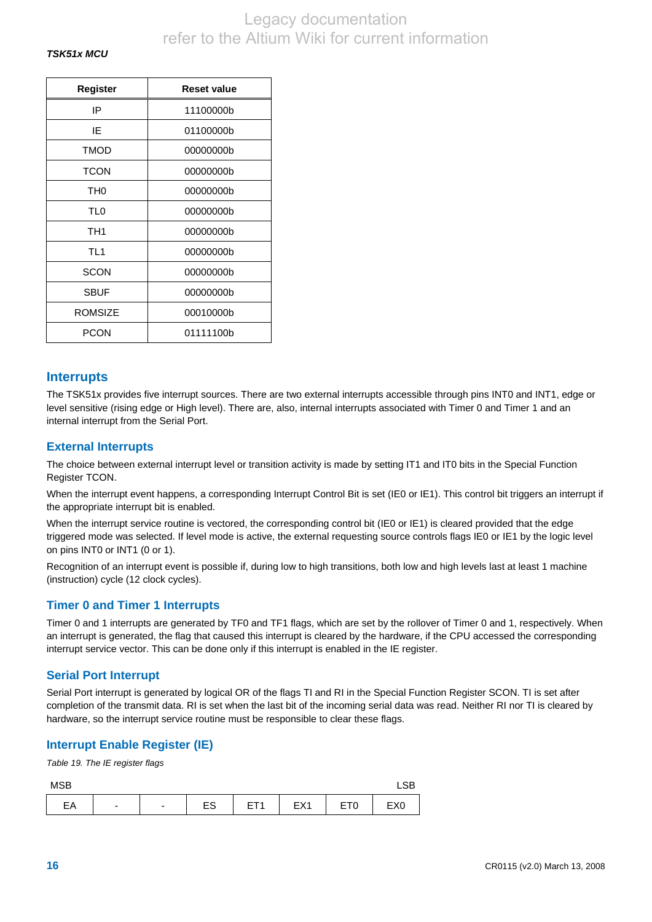| Register        | <b>Reset value</b> |  |  |  |  |
|-----------------|--------------------|--|--|--|--|
| IP              | 11100000b          |  |  |  |  |
| ΙE              | 01100000b          |  |  |  |  |
| <b>TMOD</b>     | 00000000b          |  |  |  |  |
| <b>TCON</b>     | 00000000b          |  |  |  |  |
| TH <sub>0</sub> | 00000000b          |  |  |  |  |
| TL0             | 00000000b          |  |  |  |  |
| TH <sub>1</sub> | 00000000b          |  |  |  |  |
| TL <sub>1</sub> | 00000000b          |  |  |  |  |
| <b>SCON</b>     | 00000000b          |  |  |  |  |
| <b>SBUF</b>     | 00000000b          |  |  |  |  |
| <b>ROMSIZE</b>  | 00010000b          |  |  |  |  |
| PCON            | 01111100b          |  |  |  |  |

## **Interrupts**

The TSK51x provides five interrupt sources. There are two external interrupts accessible through pins INT0 and INT1, edge or level sensitive (rising edge or High level). There are, also, internal interrupts associated with Timer 0 and Timer 1 and an internal interrupt from the Serial Port.

## **External Interrupts**

The choice between external interrupt level or transition activity is made by setting IT1 and IT0 bits in the Special Function Register TCON.

When the interrupt event happens, a corresponding Interrupt Control Bit is set (IE0 or IE1). This control bit triggers an interrupt if the appropriate interrupt bit is enabled.

When the interrupt service routine is vectored, the corresponding control bit (IE0 or IE1) is cleared provided that the edge triggered mode was selected. If level mode is active, the external requesting source controls flags IE0 or IE1 by the logic level on pins INT0 or INT1 (0 or 1).

Recognition of an interrupt event is possible if, during low to high transitions, both low and high levels last at least 1 machine (instruction) cycle (12 clock cycles).

## **Timer 0 and Timer 1 Interrupts**

Timer 0 and 1 interrupts are generated by TF0 and TF1 flags, which are set by the rollover of Timer 0 and 1, respectively. When an interrupt is generated, the flag that caused this interrupt is cleared by the hardware, if the CPU accessed the corresponding interrupt service vector. This can be done only if this interrupt is enabled in the IE register.

## **Serial Port Interrupt**

Serial Port interrupt is generated by logical OR of the flags TI and RI in the Special Function Register SCON. TI is set after completion of the transmit data. RI is set when the last bit of the incoming serial data was read. Neither RI nor TI is cleared by hardware, so the interrupt service routine must be responsible to clear these flags.

## **Interrupt Enable Register (IE)**

*Table 19. The IE register flags* 

| <b>MSB</b> |   |                          |                |                          |     |                 | $\sim$<br>ᇅ     |
|------------|---|--------------------------|----------------|--------------------------|-----|-----------------|-----------------|
| EА         | - | $\overline{\phantom{0}}$ | $\Gamma$<br>∟১ | ET <sub>1</sub><br>- ' ' | EX1 | ET <sub>0</sub> | EX <sub>0</sub> |